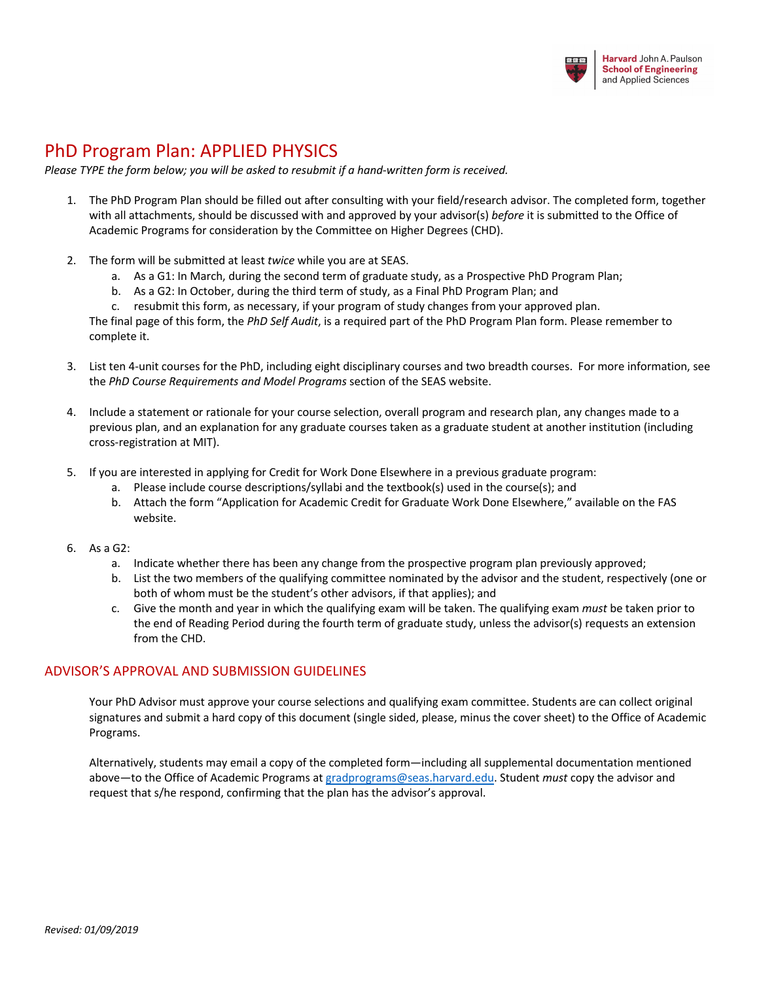

## PhD Program Plan: APPLIED PHYSICS

*Please TYPE the form below; you will be asked to resubmit if a hand-written form is received.*

- 1. The PhD Program Plan should be filled out after consulting with your field/research advisor. The completed form, together with all attachments, should be discussed with and approved by your advisor(s) *before* it is submitted to the Office of Academic Programs for consideration by the Committee on Higher Degrees (CHD).
- 2. The form will be submitted at least *twice* while you are at SEAS.
	- a. As a G1: In March, during the second term of graduate study, as a Prospective PhD Program Plan;
	- b. As a G2: In October, during the third term of study, as a Final PhD Program Plan; and
	- c. resubmit this form, as necessary, if your program of study changes from your approved plan.

The final page of this form, the *PhD Self Audit*, is a required part of the PhD Program Plan form. Please remember to complete it.

- 3. List ten 4-unit courses for the PhD, including eight disciplinary courses and two breadth courses. For more information, see the *PhD Course Requirements and Model Programs* section of the SEAS website.
- 4. Include a statement or rationale for your course selection, overall program and research plan, any changes made to a previous plan, and an explanation for any graduate courses taken as a graduate student at another institution (including cross-registration at MIT).
- 5. If you are interested in applying for Credit for Work Done Elsewhere in a previous graduate program:
	- a. Please include course descriptions/syllabi and the textbook(s) used in the course(s); and
	- b. Attach the form "Application for Academic Credit for Graduate Work Done Elsewhere," available on the FAS website.
- 6. As a G2:
	- a. Indicate whether there has been any change from the prospective program plan previously approved;
	- b. List the two members of the qualifying committee nominated by the advisor and the student, respectively (one or both of whom must be the student's other advisors, if that applies); and
	- c. Give the month and year in which the qualifying exam will be taken. The qualifying exam *must* be taken prior to the end of Reading Period during the fourth term of graduate study, unless the advisor(s) requests an extension from the CHD.

#### ADVISOR'S APPROVAL AND SUBMISSION GUIDELINES

Your PhD Advisor must approve your course selections and qualifying exam committee. Students are can collect original signatures and submit a hard copy of this document (single sided, please, minus the cover sheet) to the Office of Academic Programs.

Alternatively, students may email a copy of the completed form—including all supplemental documentation mentioned above—to the Office of Academic Programs at gradprograms@seas.harvard.edu. Student *must* copy the advisor and request that s/he respond, confirming that the plan has the advisor's approval.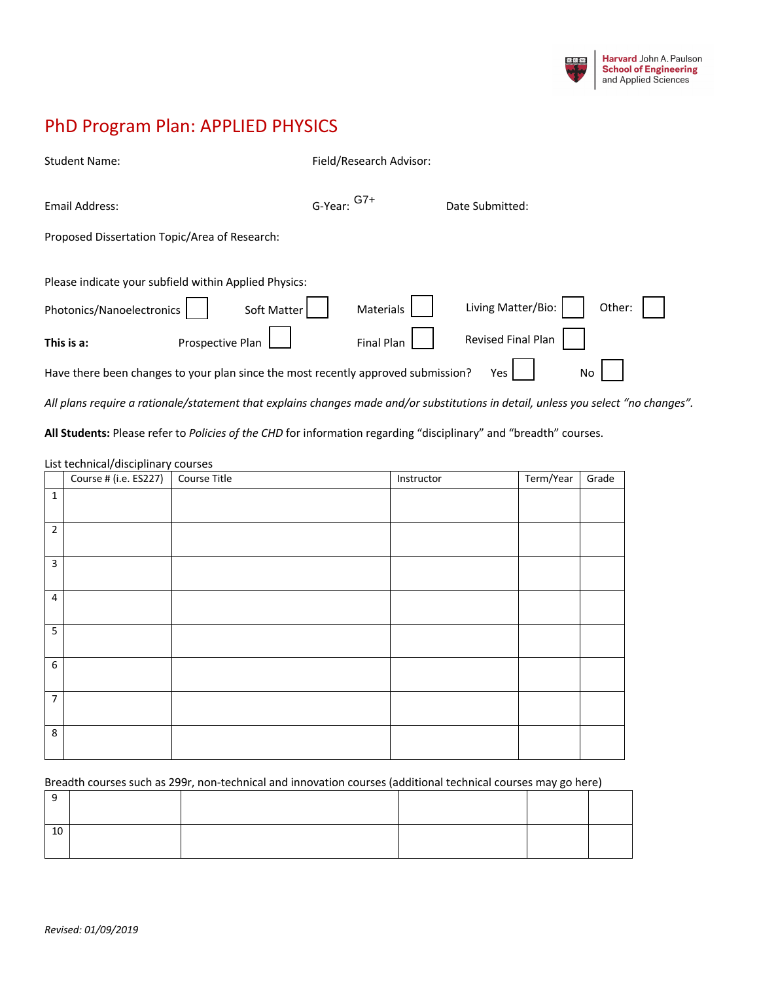

# PhD Program Plan: APPLIED PHYSICS

| <b>Student Name:</b>                                                              |                  | Field/Research Advisor: |                              |  |
|-----------------------------------------------------------------------------------|------------------|-------------------------|------------------------------|--|
| Email Address:                                                                    |                  | G-Year: <sup>G7+</sup>  | Date Submitted:              |  |
| Proposed Dissertation Topic/Area of Research:                                     |                  |                         |                              |  |
| Please indicate your subfield within Applied Physics:                             |                  |                         |                              |  |
| Photonics/Nanoelectronics                                                         | Soft Matter      | Materials               | Living Matter/Bio:<br>Other: |  |
| This is a:                                                                        | Prospective Plan | <b>Final Plan</b>       | Revised Final Plan           |  |
| Have there been changes to your plan since the most recently approved submission? |                  |                         | No<br>Yes                    |  |

*All plans require a rationale/statement that explains changes made and/or substitutions in detail, unless you select "no changes".* 

**All Students:** Please refer to *Policies of the CHD* for information regarding "disciplinary" and "breadth" courses.

#### List technical/disciplinary courses

|                | Course # (i.e. ES227) Course Title | Instructor | Term/Year | Grade |
|----------------|------------------------------------|------------|-----------|-------|
| $\mathbf{1}$   |                                    |            |           |       |
| $\overline{2}$ |                                    |            |           |       |
| 3              |                                    |            |           |       |
| $\overline{4}$ |                                    |            |           |       |
| 5              |                                    |            |           |       |
| 6              |                                    |            |           |       |
| $\overline{7}$ |                                    |            |           |       |
| 8              |                                    |            |           |       |

Breadth courses such as 299r, non-technical and innovation courses (additional technical courses may go here)

| 10 |  |  |  |
|----|--|--|--|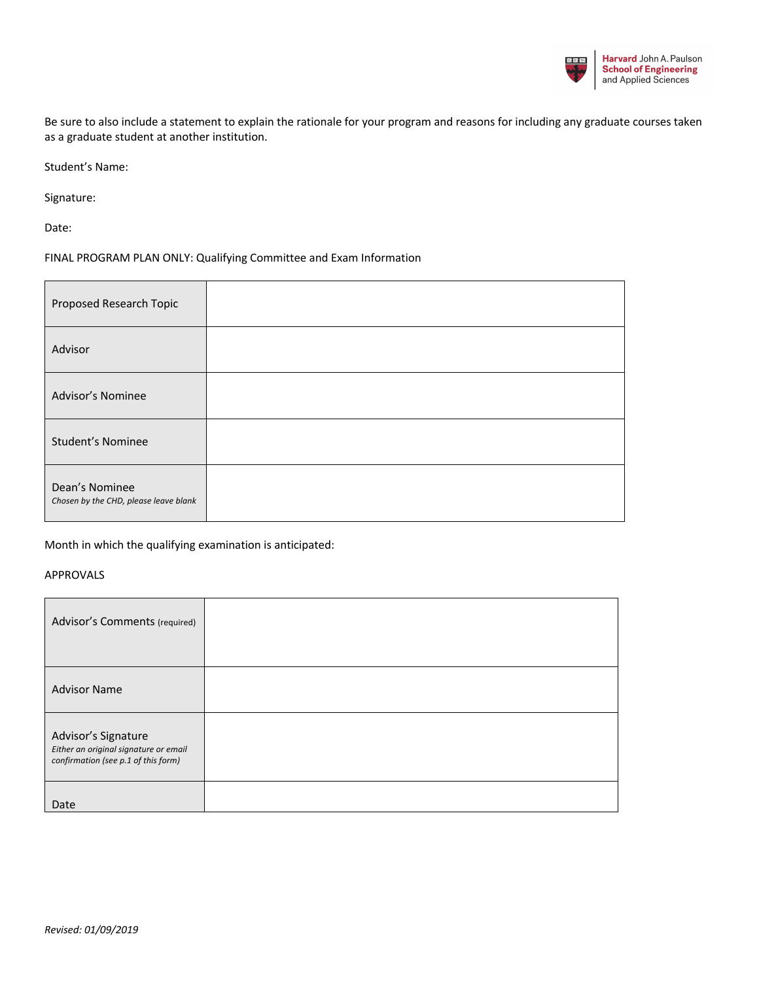

Be sure to also include a statement to explain the rationale for your program and reasons for including any graduate courses taken as a graduate student at another institution.

Student's Name:

Signature:

Date:

#### FINAL PROGRAM PLAN ONLY: Qualifying Committee and Exam Information

| Proposed Research Topic                                 |  |
|---------------------------------------------------------|--|
| Advisor                                                 |  |
| <b>Advisor's Nominee</b>                                |  |
| <b>Student's Nominee</b>                                |  |
| Dean's Nominee<br>Chosen by the CHD, please leave blank |  |

Month in which the qualifying examination is anticipated:

#### APPROVALS

| Advisor's Comments (required)                                                                       |  |
|-----------------------------------------------------------------------------------------------------|--|
| <b>Advisor Name</b>                                                                                 |  |
| Advisor's Signature<br>Either an original signature or email<br>confirmation (see p.1 of this form) |  |
| Date                                                                                                |  |